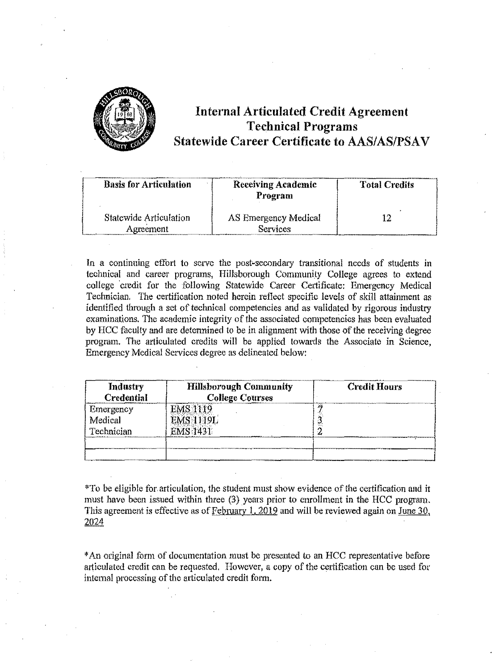

# **Internal Articulated Credit Agreement Technical Programs Statewide Career Certificate to AAS/AS/PSAV**

| <b>Basis for Articulation</b>       | <b>Receiving Academic</b><br>Program | <b>Total Credits</b> |
|-------------------------------------|--------------------------------------|----------------------|
| Statewide Articulation<br>Agreement | AS Emergency Medical<br>Services     |                      |

In a continuing effort to serve the post-secondary transitional needs of students in technical and career programs, Hillsborough Community College agrees to extend college credit for the following Statewide Career Certificate: Emergency Medical Technician, The certification noted herein reflect specific levels of skill attainment as identified through a set of technical competencies and as validated by rigorous industry examinations. The academic integrity of the associated competencies has been evaluated by HCC faculty and are determined to be in alignment with those of the receiving degree program. The articulated credits will be applied towards the Associate in Science, Emergency Medical Services degree *as* delineated below:

| Industry<br><b>Credential</b> | <b>Hillsborough Community</b><br><b>College Courses</b> | <b>Credit Hours</b> |
|-------------------------------|---------------------------------------------------------|---------------------|
| Emergency                     | <b>EMS 1119</b>                                         |                     |
| Medical                       | <b>EMS 1119L</b>                                        |                     |
| Technician                    | <b>EMS 1431</b>                                         |                     |
|                               |                                                         |                     |
|                               |                                                         |                     |

\*To be eligible for articulation, the student must show evidence of the certification and it must have been issued within three (3) years prior to emollment in the HCC program. This agreement is effective as of February 1, 2019 and will be reviewed again on June 30, 2024

\*An original foim of documentation must be presented to an HCC representative before articulated credit can be requested. However, a copy of the certification can be used for internal processing of the articulated credit form.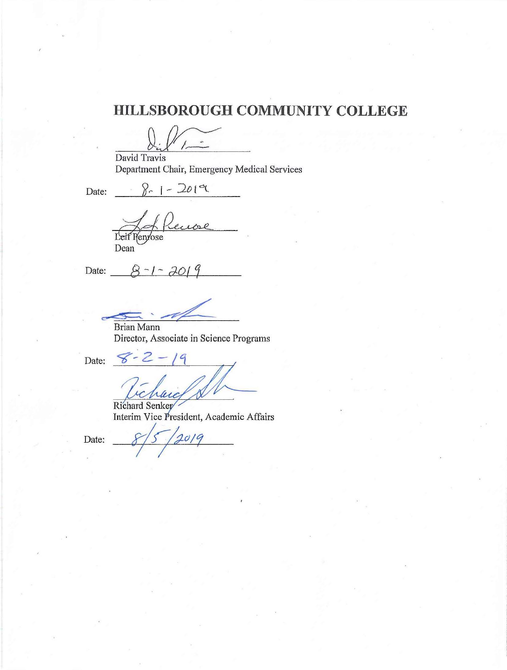# **HILLSBOROUGH COMMUNITY COLLEGE**

David Travis Department Chair, Emergency Medical Services

 $8 - 1 - 201$ Date:

Renoe Leif Penyose

Dean<br>Date:  $-8-1-70+9$ 

Brian Mann - 1

*I* 

Director, Associate in Science Programs

Date:  $8 - 2$ 

Richard Senker Interim Vice President, Academic Affairs<br>Date: 2/5/2019